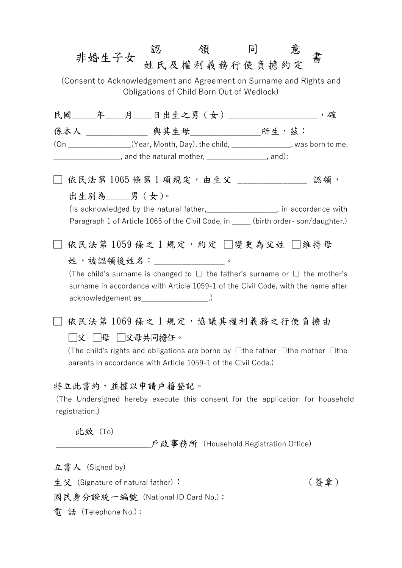| 非婚生子女                                                                                                                                                                                  | 認    領    同<br>姓氏及權利義務行使負擔約定          |  |  | 意 | 書    |  |  |  |  |
|----------------------------------------------------------------------------------------------------------------------------------------------------------------------------------------|---------------------------------------|--|--|---|------|--|--|--|--|
| (Consent to Acknowledgement and Agreement on Surname and Rights and<br>Obligations of Child Born Out of Wedlock)                                                                       |                                       |  |  |   |      |  |  |  |  |
| 民國_____年____月____日出生之男(女)__________________,確                                                                                                                                          |                                       |  |  |   |      |  |  |  |  |
| 係本人 _______________ 與其生母________________所生,茲:                                                                                                                                          |                                       |  |  |   |      |  |  |  |  |
| (On _______________(Year, Month, Day), the child, ______________, was born to me,<br>_____________________, and the natural mother, ___________________, and):                         |                                       |  |  |   |      |  |  |  |  |
| 依民法第1065條第1項規定,由生父 _______________ 認領,                                                                                                                                                 |                                       |  |  |   |      |  |  |  |  |
| 出生別為____男(女)。<br>(Is acknowledged by the natural father,<br><u> </u> , in accordance with<br>Paragraph 1 of Article 1065 of the Civil Code, in _____ (birth order-son/daughter.)       |                                       |  |  |   |      |  |  |  |  |
| 依民法第 1059 條之1規定,約定 □變更為父姓 □維持母<br>姓,被認領後姓名: ______________。<br>(The child's surname is changed to $\Box$ the father's surname or $\Box$ the mother's                                   |                                       |  |  |   |      |  |  |  |  |
| surname in accordance with Article 1059-1 of the Civil Code, with the name after<br>acknowledgement as _________________.)                                                             |                                       |  |  |   |      |  |  |  |  |
| 依民法第1069條之1規定,協議其權利義務之行使負擔由                                                                                                                                                            |                                       |  |  |   |      |  |  |  |  |
| │母 │父母共同擔任。<br> 父 <br>(The child's rights and obligations are borne by $\Box$ the father $\Box$ the mother $\Box$ the<br>parents in accordance with Article 1059-1 of the Civil Code.) |                                       |  |  |   |      |  |  |  |  |
| 特立此書約,並據以申請戶籍登記。<br>(The Undersigned hereby execute this consent for the application for household<br>registration.)                                                                   |                                       |  |  |   |      |  |  |  |  |
| 此致(To)                                                                                                                                                                                 |                                       |  |  |   |      |  |  |  |  |
|                                                                                                                                                                                        | _户政事務所(Household Registration Office) |  |  |   |      |  |  |  |  |
| 立書人 (Signed by)                                                                                                                                                                        |                                       |  |  |   |      |  |  |  |  |
| 生父 (Signature of natural father):                                                                                                                                                      |                                       |  |  |   | (簽章) |  |  |  |  |

國民身分證統一編號 (National ID Card No.):

電 話 (Telephone No.):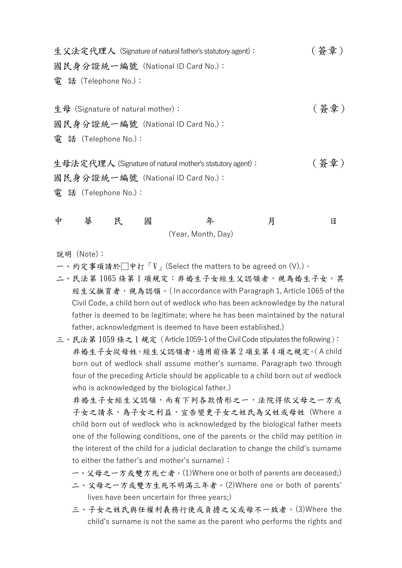生父法定代理人 (Signature of natural father's statutory agent): ( 答章) 國民身分證統一編號 (National ID Card No.): 電 話 (Telephone No.):

生母 (Signature of natural mother):  $($  答章) 國民身分證統一編號 (National ID Card No.): 電 話 (Telephone No.):

生母法定代理人 (Signature of natural mother's statutory agent) : ( 簽 章 ) 國民身分證統一編號 (National ID Card No.): 電 話 (Telephone No.):

| $\frac{1}{2}$ | 華 | 民 | 國 |                    |  |
|---------------|---|---|---|--------------------|--|
|               |   |   |   | (Year, Month, Day) |  |

說明 (Note):

- 一、約定事項請於□中打「V」(Select the matters to be agreed on (V).)。
- 二、民法第 1065 條第 1 項規定:非婚生子女經生父認領者,視為婚生子女。其 經生父撫育者,視為認領。(In accordance with Paragraph 1, Article 1065 of the Civil Code, a child born out of wedlock who has been acknowledge by the natural father is deemed to be legitimate; where he has been maintained by the natural father, acknowledgment is deemed to have been established.)
- 三、民法第 1059 條之 1 規定(Article 1059-1 of the Civil Code stipulates the following): 非婚生子女從母姓。經生父認領者,適用前條第 2 項至第 4 項之規定。(A child born out of wedlock shall assume mother's surname. Paragraph two through four of the preceding Article should be applicable to a child born out of wedlock who is acknowledged by the biological father.)

非婚生子女經生父認領,而有下列各款情形之一,法院得依父母之一方或 子女之請求,為子女之利益,宣告變更子女之姓氏為父姓或母姓 (Where a child born out of wedlock who is acknowledged by the biological father meets one of the following conditions, one of the parents or the child may petition in the interest of the child for a judicial declaration to change the child's surname to either the father's and mother's surname):

- 一、父母之一方或雙方死亡者。(1)Where one or both of parents are deceased;)
- 二、父母之一方或雙方生死不明滿三年者。(2)Where one or both of parents' lives have been uncertain for three years;)
- 三、子女之姓氏與任權利義務行使或負擔之父或母不一致者。(3)Where the child's surname is not the same as the parent who performs the rights and